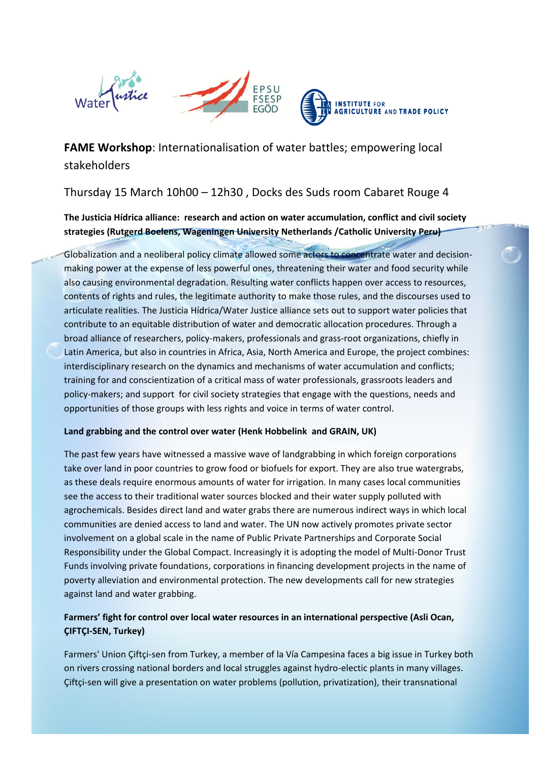

**FAME Workshop**: Internationalisation of water battles; empowering local stakeholders

Thursday 15 March 10h00 – 12h30 , Docks des Suds room Cabaret Rouge 4

**The Justicia Hídrica alliance: research and action on water accumulation, conflict and civil society strategies (Rutgerd Boelens, Wageningen University Netherlands /Catholic University Peru)**

Globalization and a neoliberal policy climate allowed some actors to concentrate water and decisionmaking power at the expense of less powerful ones, threatening their water and food security while also causing environmental degradation. Resulting water conflicts happen over access to resources, contents of rights and rules, the legitimate authority to make those rules, and the discourses used to articulate realities. The Justicia Hídrica/Water Justice alliance sets out to support water policies that contribute to an equitable distribution of water and democratic allocation procedures. Through a broad alliance of researchers, policy-makers, professionals and grass-root organizations, chiefly in Latin America, but also in countries in Africa, Asia, North America and Europe, the project combines: interdisciplinary research on the dynamics and mechanisms of water accumulation and conflicts; training for and conscientization of a critical mass of water professionals, grassroots leaders and policy-makers; and support for civil society strategies that engage with the questions, needs and opportunities of those groups with less rights and voice in terms of water control.

### **Land grabbing and the control over water (Henk Hobbelink and GRAIN, UK)**

The past few years have witnessed a massive wave of landgrabbing in which foreign corporations take over land in poor countries to grow food or biofuels for export. They are also true watergrabs, as these deals require enormous amounts of water for irrigation. In many cases local communities see the access to their traditional water sources blocked and their water supply polluted with agrochemicals. Besides direct land and water grabs there are numerous indirect ways in which local communities are denied access to land and water. The UN now actively promotes private sector involvement on a global scale in the name of Public Private Partnerships and Corporate Social Responsibility under the Global Compact. Increasingly it is adopting the model of Multi-Donor Trust Funds involving private foundations, corporations in financing development projects in the name of poverty alleviation and environmental protection. The new developments call for new strategies against land and water grabbing.

# **Farmers' fight for control over local water resources in an international perspective (Asli Ocan, ÇIFTÇI-SEN, Turkey)**

Farmers' Union Çiftçi-sen from Turkey, a member of la Vía Campesina faces a big issue in Turkey both on rivers crossing national borders and local struggles against hydro-electic plants in many villages. Çiftçi-sen will give a presentation on water problems (pollution, privatization), their transnational